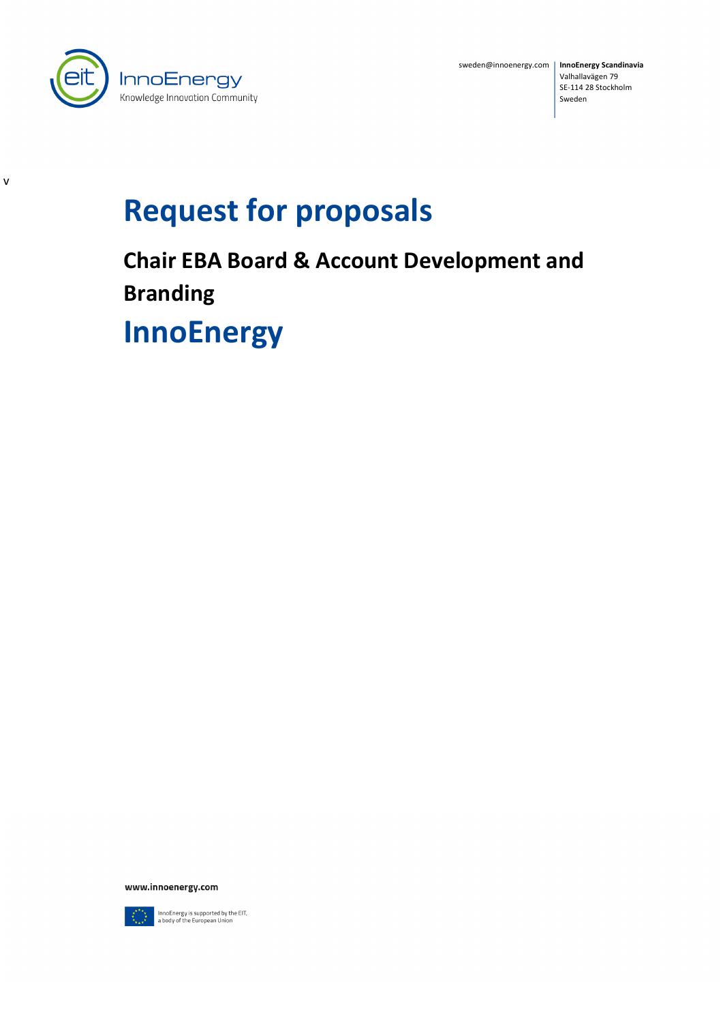

v

sweden@innoenergy.com | InnoEnergy Scandinavia Valhallavägen 79 SE-114 28 Stockholm Sweden

# **Request for proposals**

**Chair EBA Board & Account Development and Branding**

**InnoEnergy**

www.innoenergy.com



InnoEnergy is supported by the EIT,<br>a body of the European Union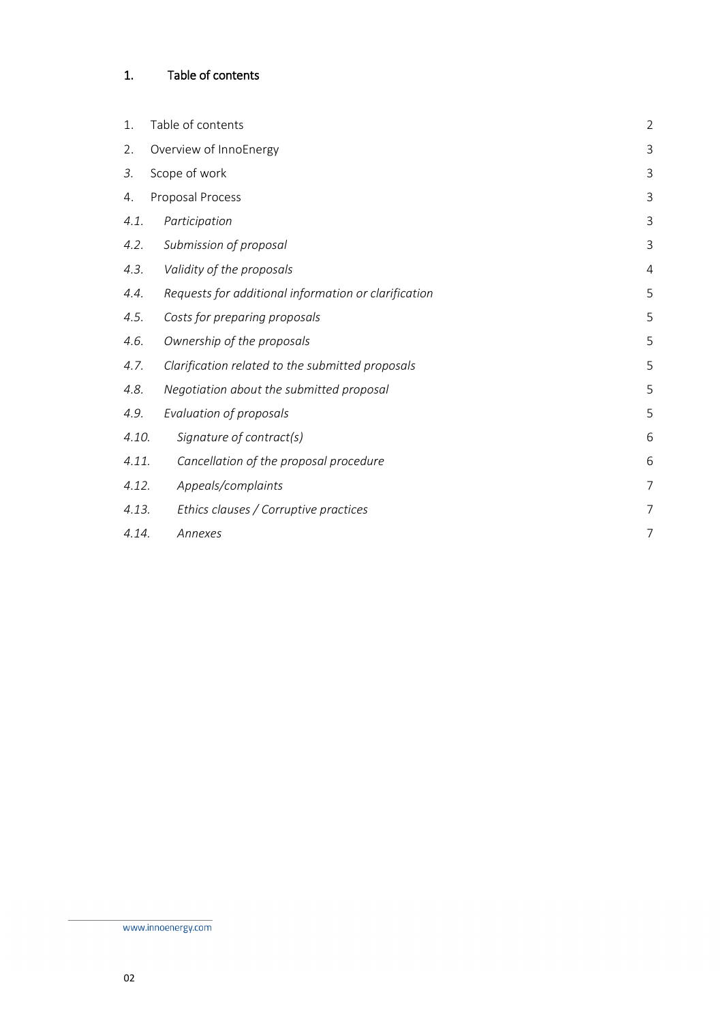# <span id="page-1-0"></span>1. Table of contents

| 1.    | Table of contents                                    | $\overline{2}$ |
|-------|------------------------------------------------------|----------------|
| 2.    | Overview of InnoEnergy                               | 3              |
| 3.    | Scope of work                                        | 3              |
| 4.    | Proposal Process                                     | 3              |
| 4.1.  | Participation                                        | 3              |
| 4.2.  | Submission of proposal                               | 3              |
| 4.3.  | Validity of the proposals                            | 4              |
| 4.4.  | Requests for additional information or clarification | 5              |
| 4.5.  | Costs for preparing proposals                        | 5              |
| 4.6.  | Ownership of the proposals                           | 5              |
| 4.7.  | Clarification related to the submitted proposals     | 5              |
| 4.8.  | Negotiation about the submitted proposal             | 5              |
| 4.9.  | Evaluation of proposals                              | 5              |
| 4.10. | Signature of contract(s)                             | 6              |
| 4.11. | Cancellation of the proposal procedure               | 6              |
| 4.12. | Appeals/complaints                                   | 7              |
| 4.13. | Ethics clauses / Corruptive practices                | 7              |
| 4.14. | Annexes                                              | 7              |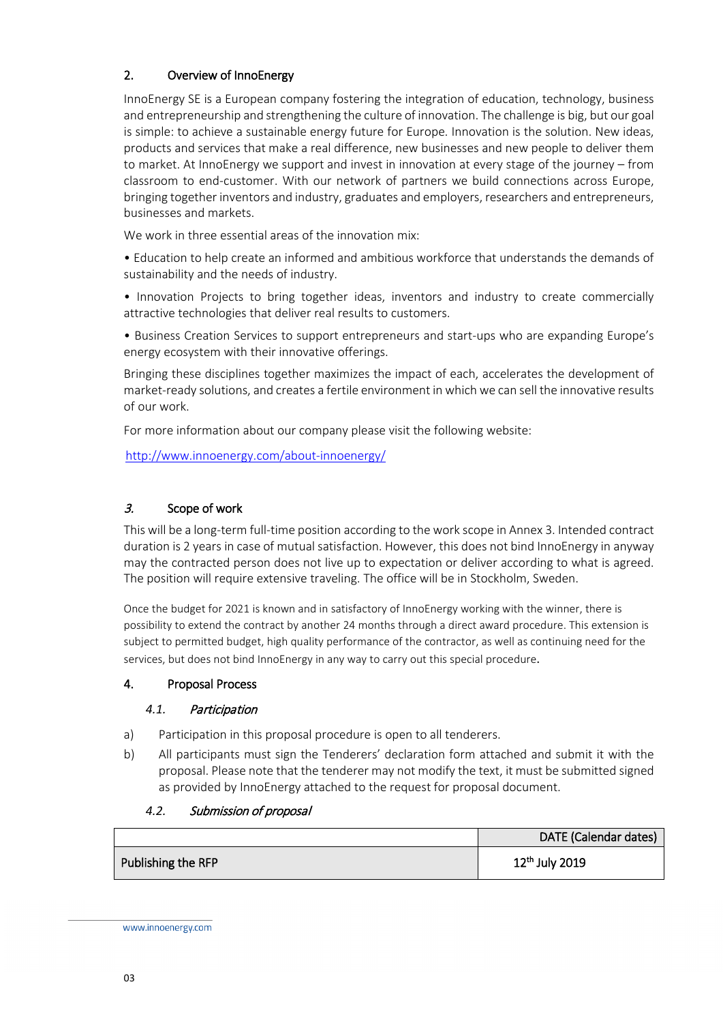# <span id="page-2-0"></span>2. Overview of InnoEnergy

InnoEnergy SE is a European company fostering the integration of education, technology, business and entrepreneurship and strengthening the culture of innovation. The challenge is big, but our goal is simple: to achieve a sustainable energy future for Europe. Innovation is the solution. New ideas, products and services that make a real difference, new businesses and new people to deliver them to market. At InnoEnergy we support and invest in innovation at every stage of the journey – from classroom to end-customer. With our network of partners we build connections across Europe, bringing together inventors and industry, graduates and employers, researchers and entrepreneurs, businesses and markets.

We work in three essential areas of the innovation mix:

• Education to help create an informed and ambitious workforce that understands the demands of sustainability and the needs of industry.

• Innovation Projects to bring together ideas, inventors and industry to create commercially attractive technologies that deliver real results to customers.

• Business Creation Services to support entrepreneurs and start-ups who are expanding Europe's energy ecosystem with their innovative offerings.

Bringing these disciplines together maximizes the impact of each, accelerates the development of market-ready solutions, and creates a fertile environment in which we can sell the innovative results of our work.

For more information about our company please visit the following website:

<http://www.innoenergy.com/about-innoenergy/>

## <span id="page-2-1"></span>3. Scope of work

This will be a long-term full-time position according to the work scope in Annex 3. Intended contract duration is 2 years in case of mutual satisfaction. However, this does not bind InnoEnergy in anyway may the contracted person does not live up to expectation or deliver according to what is agreed. The position will require extensive traveling. The office will be in Stockholm, Sweden.

Once the budget for 2021 is known and in satisfactory of InnoEnergy working with the winner, there is possibility to extend the contract by another 24 months through a direct award procedure. This extension is subject to permitted budget, high quality performance of the contractor, as well as continuing need for the services, but does not bind InnoEnergy in any way to carry out this special procedure.

#### <span id="page-2-3"></span><span id="page-2-2"></span>4. Proposal Process

#### *4.1.* Participation

- a) Participation in this proposal procedure is open to all tenderers.
- b) All participants must sign the Tenderers' declaration form attached and submit it with the proposal. Please note that the tenderer may not modify the text, it must be submitted signed as provided by InnoEnergy attached to the request for proposal document.

#### <span id="page-2-4"></span>*4.2.* Submission of proposal

|                    | DATE (Calendar dates) |
|--------------------|-----------------------|
| Publishing the RFP | $12^{th}$ July 2019   |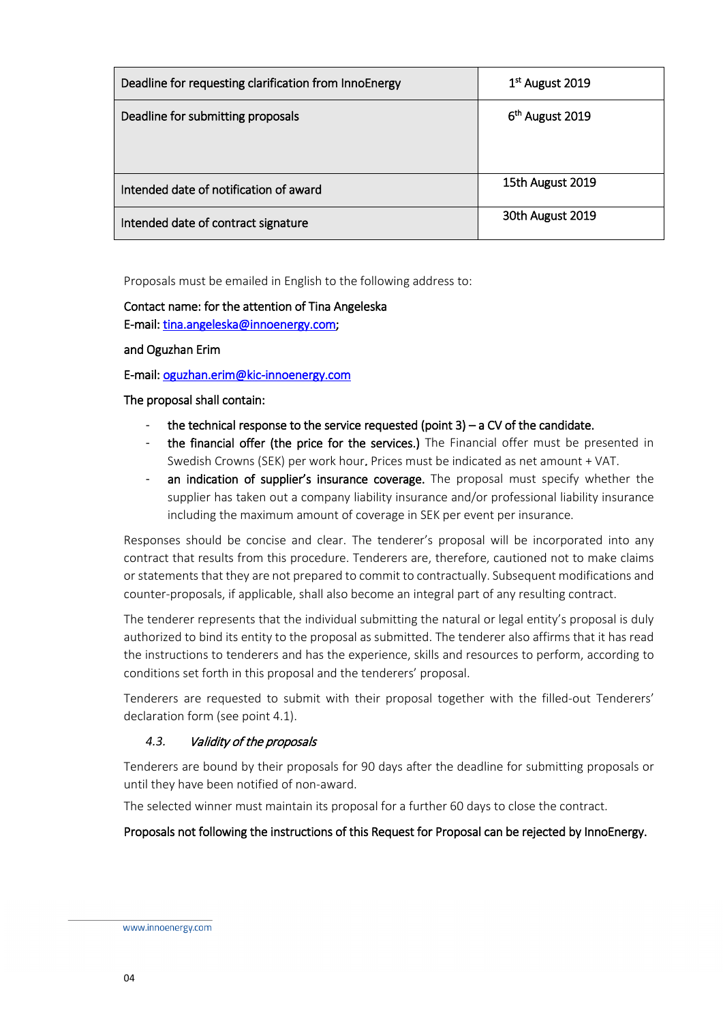| Deadline for requesting clarification from InnoEnergy | 1 <sup>st</sup> August 2019 |
|-------------------------------------------------------|-----------------------------|
| Deadline for submitting proposals                     | 6 <sup>th</sup> August 2019 |
| Intended date of notification of award                | 15th August 2019            |
| Intended date of contract signature                   | 30th August 2019            |

Proposals must be emailed in English to the following address to:

# Contact name: for the attention of Tina Angeleska E-mail: [tina.angeleska@innoenergy.com;](mailto:tina.angeleska@innoenergy.com)

and Oguzhan Erim

E-mail: [oguzhan.erim@kic-innoenergy.com](mailto:oguzhan.erim@kic-innoenergy.com) 

The proposal shall contain:

- the technical response to the service requested (point  $3$ ) a CV of the candidate.
- the financial offer (the price for the services.) The Financial offer must be presented in Swedish Crowns (SEK) per work hour. Prices must be indicated as net amount + VAT.
- an indication of supplier's insurance coverage. The proposal must specify whether the supplier has taken out a company liability insurance and/or professional liability insurance including the maximum amount of coverage in SEK per event per insurance.

Responses should be concise and clear. The tenderer's proposal will be incorporated into any contract that results from this procedure. Tenderers are, therefore, cautioned not to make claims or statements that they are not prepared to commit to contractually. Subsequent modifications and counter-proposals, if applicable, shall also become an integral part of any resulting contract.

The tenderer represents that the individual submitting the natural or legal entity's proposal is duly authorized to bind its entity to the proposal as submitted. The tenderer also affirms that it has read the instructions to tenderers and has the experience, skills and resources to perform, according to conditions set forth in this proposal and the tenderers' proposal.

Tenderers are requested to submit with their proposal together with the filled-out Tenderers' declaration form (see point 4.1).

# <span id="page-3-0"></span>*4.3.* Validity of the proposals

Tenderers are bound by their proposals for 90 days after the deadline for submitting proposals or until they have been notified of non-award.

The selected winner must maintain its proposal for a further 60 days to close the contract.

#### Proposals not following the instructions of this Request for Proposal can be rejected by InnoEnergy.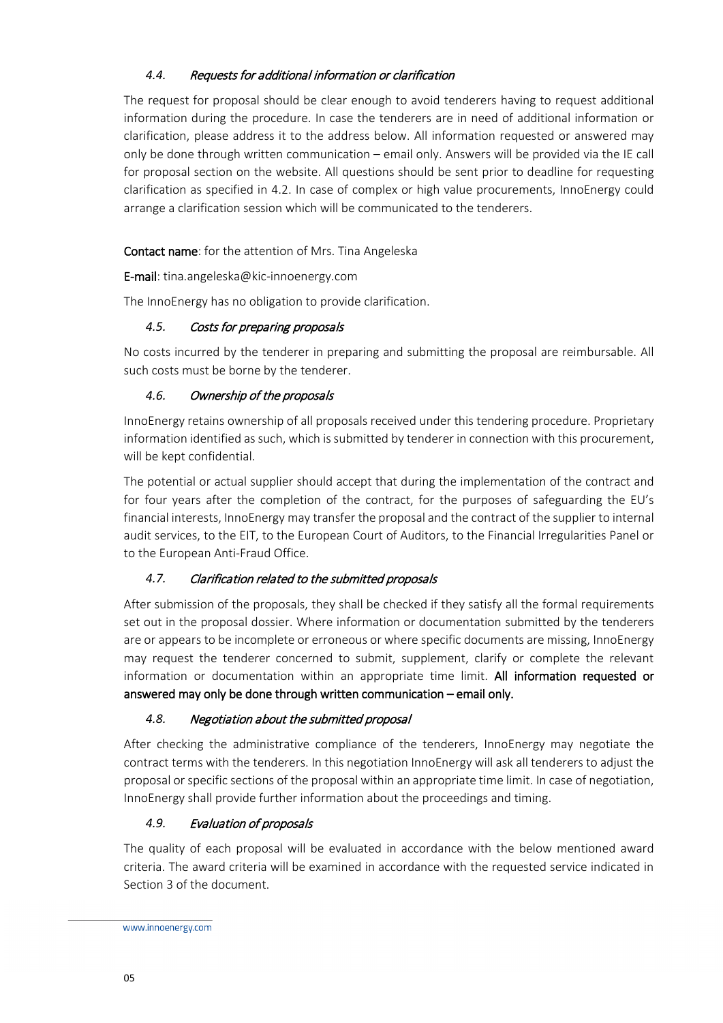# <span id="page-4-0"></span>*4.4.* Requests for additional information or clarification

The request for proposal should be clear enough to avoid tenderers having to request additional information during the procedure. In case the tenderers are in need of additional information or clarification, please address it to the address below. All information requested or answered may only be done through written communication – email only. Answers will be provided via the IE call for proposal section on the website. All questions should be sent prior to deadline for requesting clarification as specified in 4.2. In case of complex or high value procurements, InnoEnergy could arrange a clarification session which will be communicated to the tenderers.

#### Contact name: for the attention of Mrs. Tina Angeleska

E-mail: tina.angeleska@kic-innoenergy.com

The InnoEnergy has no obligation to provide clarification.

## <span id="page-4-1"></span>*4.5.* Costs for preparing proposals

No costs incurred by the tenderer in preparing and submitting the proposal are reimbursable. All such costs must be borne by the tenderer.

## <span id="page-4-2"></span>*4.6.* Ownership of the proposals

InnoEnergy retains ownership of all proposals received under this tendering procedure. Proprietary information identified as such, which is submitted by tenderer in connection with this procurement, will be kept confidential.

The potential or actual supplier should accept that during the implementation of the contract and for four years after the completion of the contract, for the purposes of safeguarding the EU's financial interests, InnoEnergy may transfer the proposal and the contract of the supplier to internal audit services, to the EIT, to the European Court of Auditors, to the Financial Irregularities Panel or to the European Anti-Fraud Office.

# <span id="page-4-3"></span>*4.7.* Clarification related to the submitted proposals

After submission of the proposals, they shall be checked if they satisfy all the formal requirements set out in the proposal dossier. Where information or documentation submitted by the tenderers are or appears to be incomplete or erroneous or where specific documents are missing, InnoEnergy may request the tenderer concerned to submit, supplement, clarify or complete the relevant information or documentation within an appropriate time limit. All information requested or answered may only be done through written communication – email only.

#### <span id="page-4-4"></span>*4.8.* Negotiation about the submitted proposal

After checking the administrative compliance of the tenderers, InnoEnergy may negotiate the contract terms with the tenderers. In this negotiation InnoEnergy will ask all tenderers to adjust the proposal or specific sections of the proposal within an appropriate time limit. In case of negotiation, InnoEnergy shall provide further information about the proceedings and timing.

# <span id="page-4-5"></span>*4.9.* Evaluation of proposals

The quality of each proposal will be evaluated in accordance with the below mentioned award criteria. The award criteria will be examined in accordance with the requested service indicated in Section 3 of the document.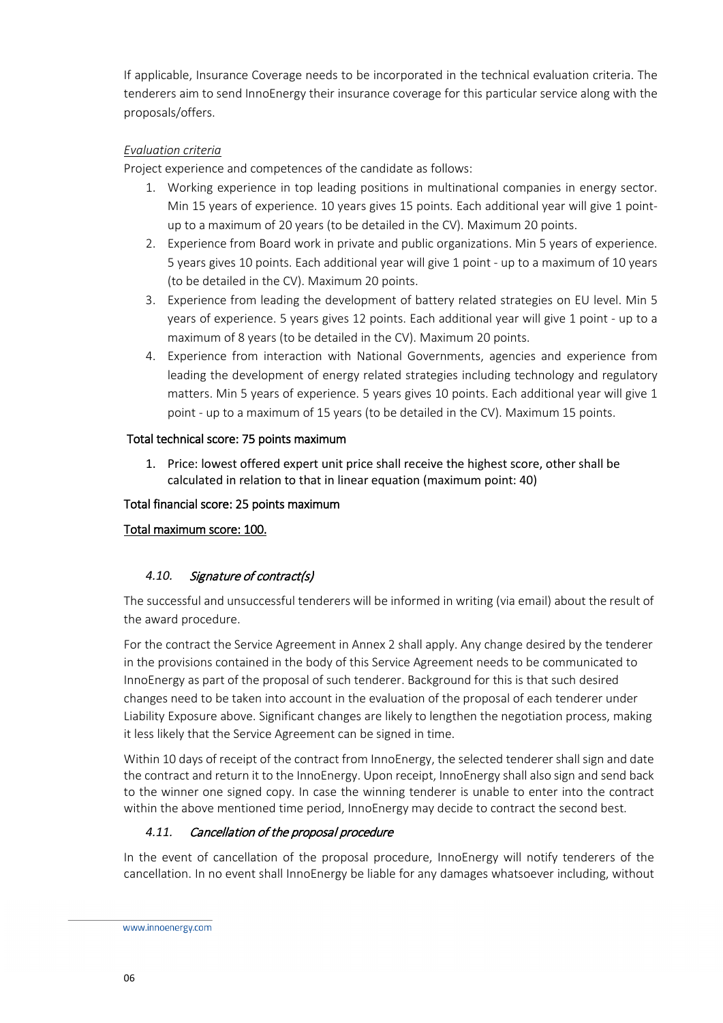If applicable, Insurance Coverage needs to be incorporated in the technical evaluation criteria. The tenderers aim to send InnoEnergy their insurance coverage for this particular service along with the proposals/offers.

#### *Evaluation criteria*

Project experience and competences of the candidate as follows:

- 1. Working experience in top leading positions in multinational companies in energy sector. Min 15 years of experience. 10 years gives 15 points. Each additional year will give 1 pointup to a maximum of 20 years (to be detailed in the CV). Maximum 20 points.
- 2. Experience from Board work in private and public organizations. Min 5 years of experience. 5 years gives 10 points. Each additional year will give 1 point - up to a maximum of 10 years (to be detailed in the CV). Maximum 20 points.
- 3. Experience from leading the development of battery related strategies on EU level. Min 5 years of experience. 5 years gives 12 points. Each additional year will give 1 point - up to a maximum of 8 years (to be detailed in the CV). Maximum 20 points.
- 4. Experience from interaction with National Governments, agencies and experience from leading the development of energy related strategies including technology and regulatory matters. Min 5 years of experience. 5 years gives 10 points. Each additional year will give 1 point - up to a maximum of 15 years (to be detailed in the CV). Maximum 15 points.

## Total technical score: 75 points maximum

1. Price: lowest offered expert unit price shall receive the highest score, other shall be calculated in relation to that in linear equation (maximum point: 40)

## Total financial score: 25 points maximum

# Total maximum score: 100.

# <span id="page-5-0"></span>*4.10.* Signature of contract(s)

The successful and unsuccessful tenderers will be informed in writing (via email) about the result of the award procedure.

For the contract the Service Agreement in Annex 2 shall apply. Any change desired by the tenderer in the provisions contained in the body of this Service Agreement needs to be communicated to InnoEnergy as part of the proposal of such tenderer. Background for this is that such desired changes need to be taken into account in the evaluation of the proposal of each tenderer under Liability Exposure above. Significant changes are likely to lengthen the negotiation process, making it less likely that the Service Agreement can be signed in time.

Within 10 days of receipt of the contract from InnoEnergy, the selected tenderer shall sign and date the contract and return it to the InnoEnergy. Upon receipt, InnoEnergy shall also sign and send back to the winner one signed copy. In case the winning tenderer is unable to enter into the contract within the above mentioned time period, InnoEnergy may decide to contract the second best.

# <span id="page-5-1"></span>*4.11.* Cancellation of the proposal procedure

In the event of cancellation of the proposal procedure, InnoEnergy will notify tenderers of the cancellation. In no event shall InnoEnergy be liable for any damages whatsoever including, without